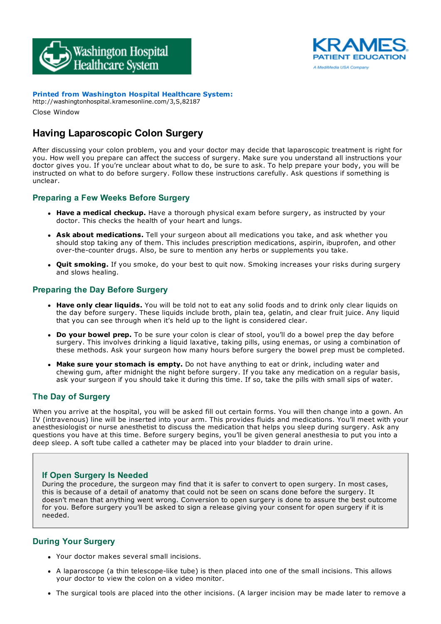



**Printed from Washington Hospital Healthcare System:**

http://washingtonhospital.kramesonline.com/3,S,82187 Close Window

# **Having Laparoscopic Colon Surgery**

After discussing your colon problem, you and your doctor may decide that laparoscopic treatment is right for you. How well you prepare can affect the success of surgery. Make sure you understand all instructions your doctor gives you. If you're unclear about what to do, be sure to ask. To help prepare your body, you will be instructed on what to do before surgery. Follow these instructions carefully. Ask questions if something is unclear.

## **Preparing a Few Weeks Before Surgery**

- **Have a medical checkup.** Have a thorough physical exam before surgery, as instructed by your doctor. This checks the health of your heart and lungs.
- **Ask about medications.** Tell your surgeon about all medications you take, and ask whether you should stop taking any of them. This includes prescription medications, aspirin, ibuprofen, and other over-the-counter drugs. Also, be sure to mention any herbs or supplements you take.
- **Quit smoking.** If you smoke, do your best to quit now. Smoking increases your risks during surgery and slows healing.

## **Preparing the Day Before Surgery**

- **Have only clear liquids.** You will be told not to eat any solid foods and to drink only clear liquids on the day before surgery. These liquids include broth, plain tea, gelatin, and clear fruit juice. Any liquid that you can see through when it's held up to the light is considered clear.
- **Do your bowel prep.** To be sure your colon is clear of stool, you'll do a bowel prep the day before surgery. This involves drinking a liquid laxative, taking pills, using enemas, or using a combination of these methods. Ask your surgeon how many hours before surgery the bowel prep must be completed.
- **Make sure your stomach is empty.** Do not have anything to eat or drink, including water and chewing gum, after midnight the night before surgery. If you take any medication on a regular basis, ask your surgeon if you should take it during this time. If so, take the pills with small sips of water.

### **The Day of Surgery**

When you arrive at the hospital, you will be asked fill out certain forms. You will then change into a gown. An IV (intravenous) line will be inserted into your arm. This provides fluids and medications. You'll meet with your anesthesiologist or nurse anesthetist to discuss the medication that helps you sleep during surgery. Ask any questions you have at this time. Before surgery begins, you'll be given general anesthesia to put you into a deep sleep. A soft tube called a catheter may be placed into your bladder to drain urine.

### **If Open Surgery Is Needed**

During the procedure, the surgeon may find that it is safer to convert to open surgery. In most cases, this is because of a detail of anatomy that could not be seen on scans done before the surgery. It doesn't mean that anything went wrong. Conversion to open surgery is done to assure the best outcome for you. Before surgery you'll be asked to sign a release giving your consent for open surgery if it is needed.

## **During Your Surgery**

- Your doctor makes several small incisions.
- A laparoscope (a thin telescope-like tube) is then placed into one of the small incisions. This allows your doctor to view the colon on a video monitor.
- The surgical tools are placed into the other incisions. (A larger incision may be made later to remove a